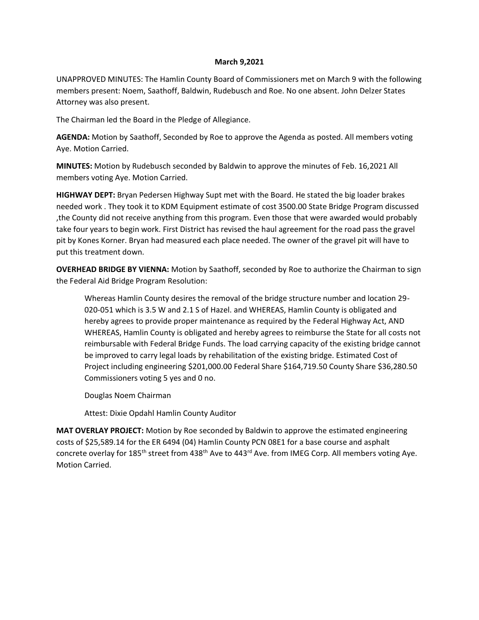## **March 9,2021**

UNAPPROVED MINUTES: The Hamlin County Board of Commissioners met on March 9 with the following members present: Noem, Saathoff, Baldwin, Rudebusch and Roe. No one absent. John Delzer States Attorney was also present.

The Chairman led the Board in the Pledge of Allegiance.

**AGENDA:** Motion by Saathoff, Seconded by Roe to approve the Agenda as posted. All members voting Aye. Motion Carried.

**MINUTES:** Motion by Rudebusch seconded by Baldwin to approve the minutes of Feb. 16,2021 All members voting Aye. Motion Carried.

**HIGHWAY DEPT:** Bryan Pedersen Highway Supt met with the Board. He stated the big loader brakes needed work . They took it to KDM Equipment estimate of cost 3500.00 State Bridge Program discussed ,the County did not receive anything from this program. Even those that were awarded would probably take four years to begin work. First District has revised the haul agreement for the road pass the gravel pit by Kones Korner. Bryan had measured each place needed. The owner of the gravel pit will have to put this treatment down.

**OVERHEAD BRIDGE BY VIENNA:** Motion by Saathoff, seconded by Roe to authorize the Chairman to sign the Federal Aid Bridge Program Resolution:

Whereas Hamlin County desires the removal of the bridge structure number and location 29- 020-051 which is 3.5 W and 2.1 S of Hazel. and WHEREAS, Hamlin County is obligated and hereby agrees to provide proper maintenance as required by the Federal Highway Act, AND WHEREAS, Hamlin County is obligated and hereby agrees to reimburse the State for all costs not reimbursable with Federal Bridge Funds. The load carrying capacity of the existing bridge cannot be improved to carry legal loads by rehabilitation of the existing bridge. Estimated Cost of Project including engineering \$201,000.00 Federal Share \$164,719.50 County Share \$36,280.50 Commissioners voting 5 yes and 0 no.

Douglas Noem Chairman

Attest: Dixie Opdahl Hamlin County Auditor

**MAT OVERLAY PROJECT:** Motion by Roe seconded by Baldwin to approve the estimated engineering costs of \$25,589.14 for the ER 6494 (04) Hamlin County PCN 08E1 for a base course and asphalt concrete overlay for 185<sup>th</sup> street from 438<sup>th</sup> Ave to 443<sup>rd</sup> Ave. from IMEG Corp. All members voting Aye. Motion Carried.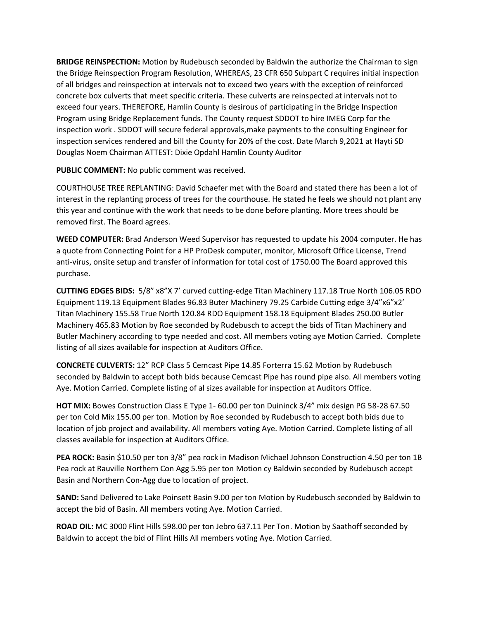**BRIDGE REINSPECTION:** Motion by Rudebusch seconded by Baldwin the authorize the Chairman to sign the Bridge Reinspection Program Resolution, WHEREAS, 23 CFR 650 Subpart C requires initial inspection of all bridges and reinspection at intervals not to exceed two years with the exception of reinforced concrete box culverts that meet specific criteria. These culverts are reinspected at intervals not to exceed four years. THEREFORE, Hamlin County is desirous of participating in the Bridge Inspection Program using Bridge Replacement funds. The County request SDDOT to hire IMEG Corp for the inspection work . SDDOT will secure federal approvals,make payments to the consulting Engineer for inspection services rendered and bill the County for 20% of the cost. Date March 9,2021 at Hayti SD Douglas Noem Chairman ATTEST: Dixie Opdahl Hamlin County Auditor

**PUBLIC COMMENT:** No public comment was received.

COURTHOUSE TREE REPLANTING: David Schaefer met with the Board and stated there has been a lot of interest in the replanting process of trees for the courthouse. He stated he feels we should not plant any this year and continue with the work that needs to be done before planting. More trees should be removed first. The Board agrees.

**WEED COMPUTER:** Brad Anderson Weed Supervisor has requested to update his 2004 computer. He has a quote from Connecting Point for a HP ProDesk computer, monitor, Microsoft Office License, Trend anti-virus, onsite setup and transfer of information for total cost of 1750.00 The Board approved this purchase.

**CUTTING EDGES BIDS:** 5/8" x8"X 7' curved cutting-edge Titan Machinery 117.18 True North 106.05 RDO Equipment 119.13 Equipment Blades 96.83 Buter Machinery 79.25 Carbide Cutting edge 3/4"x6"x2' Titan Machinery 155.58 True North 120.84 RDO Equipment 158.18 Equipment Blades 250.00 Butler Machinery 465.83 Motion by Roe seconded by Rudebusch to accept the bids of Titan Machinery and Butler Machinery according to type needed and cost. All members voting aye Motion Carried. Complete listing of all sizes available for inspection at Auditors Office.

**CONCRETE CULVERTS:** 12" RCP Class 5 Cemcast Pipe 14.85 Forterra 15.62 Motion by Rudebusch seconded by Baldwin to accept both bids because Cemcast Pipe has round pipe also. All members voting Aye. Motion Carried. Complete listing of al sizes available for inspection at Auditors Office.

**HOT MIX:** Bowes Construction Class E Type 1- 60.00 per ton Duininck 3/4" mix design PG 58-28 67.50 per ton Cold Mix 155.00 per ton. Motion by Roe seconded by Rudebusch to accept both bids due to location of job project and availability. All members voting Aye. Motion Carried. Complete listing of all classes available for inspection at Auditors Office.

**PEA ROCK:** Basin \$10.50 per ton 3/8" pea rock in Madison Michael Johnson Construction 4.50 per ton 1B Pea rock at Rauville Northern Con Agg 5.95 per ton Motion cy Baldwin seconded by Rudebusch accept Basin and Northern Con-Agg due to location of project.

**SAND:** Sand Delivered to Lake Poinsett Basin 9.00 per ton Motion by Rudebusch seconded by Baldwin to accept the bid of Basin. All members voting Aye. Motion Carried.

**ROAD OIL:** MC 3000 Flint Hills 598.00 per ton Jebro 637.11 Per Ton. Motion by Saathoff seconded by Baldwin to accept the bid of Flint Hills All members voting Aye. Motion Carried.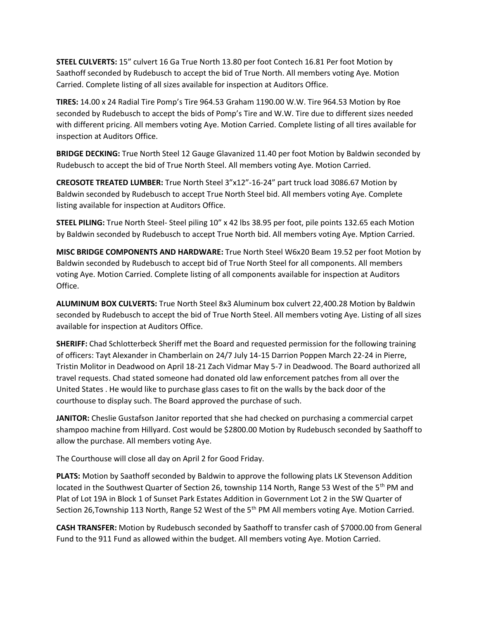**STEEL CULVERTS:** 15" culvert 16 Ga True North 13.80 per foot Contech 16.81 Per foot Motion by Saathoff seconded by Rudebusch to accept the bid of True North. All members voting Aye. Motion Carried. Complete listing of all sizes available for inspection at Auditors Office.

**TIRES:** 14.00 x 24 Radial Tire Pomp's Tire 964.53 Graham 1190.00 W.W. Tire 964.53 Motion by Roe seconded by Rudebusch to accept the bids of Pomp's Tire and W.W. Tire due to different sizes needed with different pricing. All members voting Aye. Motion Carried. Complete listing of all tires available for inspection at Auditors Office.

**BRIDGE DECKING:** True North Steel 12 Gauge Glavanized 11.40 per foot Motion by Baldwin seconded by Rudebusch to accept the bid of True North Steel. All members voting Aye. Motion Carried.

**CREOSOTE TREATED LUMBER:** True North Steel 3"x12"-16-24" part truck load 3086.67 Motion by Baldwin seconded by Rudebusch to accept True North Steel bid. All members voting Aye. Complete listing available for inspection at Auditors Office.

**STEEL PILING:** True North Steel- Steel piling 10" x 42 lbs 38.95 per foot, pile points 132.65 each Motion by Baldwin seconded by Rudebusch to accept True North bid. All members voting Aye. Mption Carried.

**MISC BRIDGE COMPONENTS AND HARDWARE:** True North Steel W6x20 Beam 19.52 per foot Motion by Baldwin seconded by Rudebusch to accept bid of True North Steel for all components. All members voting Aye. Motion Carried. Complete listing of all components available for inspection at Auditors Office.

**ALUMINUM BOX CULVERTS:** True North Steel 8x3 Aluminum box culvert 22,400.28 Motion by Baldwin seconded by Rudebusch to accept the bid of True North Steel. All members voting Aye. Listing of all sizes available for inspection at Auditors Office.

**SHERIFF:** Chad Schlotterbeck Sheriff met the Board and requested permission for the following training of officers: Tayt Alexander in Chamberlain on 24/7 July 14-15 Darrion Poppen March 22-24 in Pierre, Tristin Molitor in Deadwood on April 18-21 Zach Vidmar May 5-7 in Deadwood. The Board authorized all travel requests. Chad stated someone had donated old law enforcement patches from all over the United States . He would like to purchase glass cases to fit on the walls by the back door of the courthouse to display such. The Board approved the purchase of such.

**JANITOR:** Cheslie Gustafson Janitor reported that she had checked on purchasing a commercial carpet shampoo machine from Hillyard. Cost would be \$2800.00 Motion by Rudebusch seconded by Saathoff to allow the purchase. All members voting Aye.

The Courthouse will close all day on April 2 for Good Friday.

**PLATS:** Motion by Saathoff seconded by Baldwin to approve the following plats LK Stevenson Addition located in the Southwest Quarter of Section 26, township 114 North, Range 53 West of the 5<sup>th</sup> PM and Plat of Lot 19A in Block 1 of Sunset Park Estates Addition in Government Lot 2 in the SW Quarter of Section 26, Township 113 North, Range 52 West of the 5<sup>th</sup> PM All members voting Aye. Motion Carried.

**CASH TRANSFER:** Motion by Rudebusch seconded by Saathoff to transfer cash of \$7000.00 from General Fund to the 911 Fund as allowed within the budget. All members voting Aye. Motion Carried.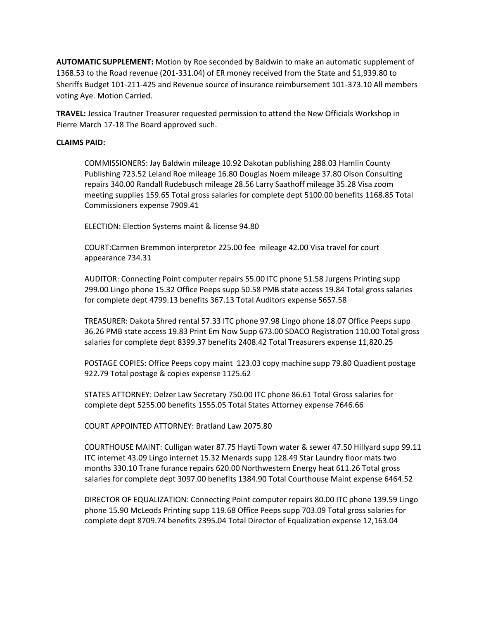**AUTOMATIC SUPPLEMENT:** Motion by Roe seconded by Baldwin to make an automatic supplement of 1368.53 to the Road revenue (201-331.04) of ER money received from the State and \$1,939.80 to Sheriffs Budget 101-211-425 and Revenue source of insurance reimbursement 101-373.10 All members voting Aye. Motion Carried.

**TRAVEL:** Jessica Trautner Treasurer requested permission to attend the New Officials Workshop in Pierre March 17-18 The Board approved such.

## **CLAIMS PAID:**

COMMISSIONERS: Jay Baldwin mileage 10.92 Dakotan publishing 288.03 Hamlin County Publishing 723.52 Leland Roe mileage 16.80 Douglas Noem mileage 37.80 Olson Consulting repairs 340.00 Randall Rudebusch mileage 28.56 Larry Saathoff mileage 35.28 Visa zoom meeting supplies 159.65 Total gross salaries for complete dept 5100.00 benefits 1168.85 Total Commissioners expense 7909.41

ELECTION: Election Systems maint & license 94.80

COURT:Carmen Bremmon interpretor 225.00 fee mileage 42.00 Visa travel for court appearance 734.31

AUDITOR: Connecting Point computer repairs 55.00 ITC phone 51.58 Jurgens Printing supp 299.00 Lingo phone 15.32 Office Peeps supp 50.58 PMB state access 19.84 Total gross salaries for complete dept 4799.13 benefits 367.13 Total Auditors expense 5657.58

TREASURER: Dakota Shred rental 57.33 ITC phone 97.98 Lingo phone 18.07 Office Peeps supp 36.26 PMB state access 19.83 Print Em Now Supp 673.00 SDACO Registration 110.00 Total gross salaries for complete dept 8399.37 benefits 2408.42 Total Treasurers expense 11,820.25

POSTAGE COPIES: Office Peeps copy maint 123.03 copy machine supp 79.80 Quadient postage 922.79 Total postage & copies expense 1125.62

STATES ATTORNEY: Delzer Law Secretary 750.00 ITC phone 86.61 Total Gross salaries for complete dept 5255.00 benefits 1555.05 Total States Attorney expense 7646.66

COURT APPOINTED ATTORNEY: Bratland Law 2075.80

COURTHOUSE MAINT: Culligan water 87.75 Hayti Town water & sewer 47.50 Hillyard supp 99.11 ITC internet 43.09 Lingo internet 15.32 Menards supp 128.49 Star Laundry floor mats two months 330.10 Trane furance repairs 620.00 Northwestern Energy heat 611.26 Total gross salaries for complete dept 3097.00 benefits 1384.90 Total Courthouse Maint expense 6464.52

DIRECTOR OF EQUALIZATION: Connecting Point computer repairs 80.00 ITC phone 139.59 Lingo phone 15.90 McLeods Printing supp 119.68 Office Peeps supp 703.09 Total gross salaries for complete dept 8709.74 benefits 2395.04 Total Director of Equalization expense 12,163.04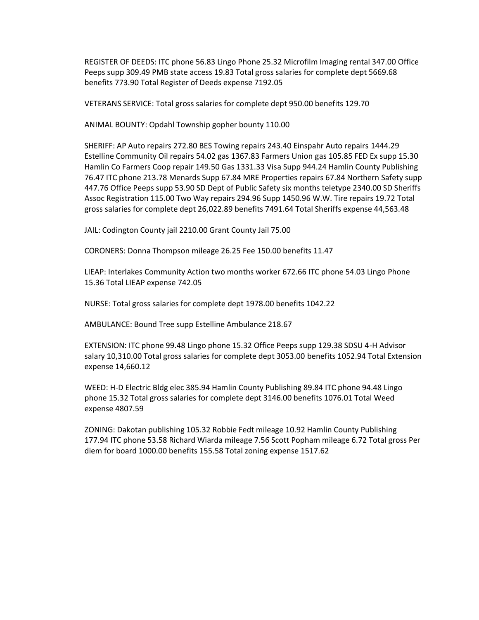REGISTER OF DEEDS: ITC phone 56.83 Lingo Phone 25.32 Microfilm Imaging rental 347.00 Office Peeps supp 309.49 PMB state access 19.83 Total gross salaries for complete dept 5669.68 benefits 773.90 Total Register of Deeds expense 7192.05

VETERANS SERVICE: Total gross salaries for complete dept 950.00 benefits 129.70

ANIMAL BOUNTY: Opdahl Township gopher bounty 110.00

SHERIFF: AP Auto repairs 272.80 BES Towing repairs 243.40 Einspahr Auto repairs 1444.29 Estelline Community Oil repairs 54.02 gas 1367.83 Farmers Union gas 105.85 FED Ex supp 15.30 Hamlin Co Farmers Coop repair 149.50 Gas 1331.33 Visa Supp 944.24 Hamlin County Publishing 76.47 ITC phone 213.78 Menards Supp 67.84 MRE Properties repairs 67.84 Northern Safety supp 447.76 Office Peeps supp 53.90 SD Dept of Public Safety six months teletype 2340.00 SD Sheriffs Assoc Registration 115.00 Two Way repairs 294.96 Supp 1450.96 W.W. Tire repairs 19.72 Total gross salaries for complete dept 26,022.89 benefits 7491.64 Total Sheriffs expense 44,563.48

JAIL: Codington County jail 2210.00 Grant County Jail 75.00

CORONERS: Donna Thompson mileage 26.25 Fee 150.00 benefits 11.47

LIEAP: Interlakes Community Action two months worker 672.66 ITC phone 54.03 Lingo Phone 15.36 Total LIEAP expense 742.05

NURSE: Total gross salaries for complete dept 1978.00 benefits 1042.22

AMBULANCE: Bound Tree supp Estelline Ambulance 218.67

EXTENSION: ITC phone 99.48 Lingo phone 15.32 Office Peeps supp 129.38 SDSU 4-H Advisor salary 10,310.00 Total gross salaries for complete dept 3053.00 benefits 1052.94 Total Extension expense 14,660.12

WEED: H-D Electric Bldg elec 385.94 Hamlin County Publishing 89.84 ITC phone 94.48 Lingo phone 15.32 Total gross salaries for complete dept 3146.00 benefits 1076.01 Total Weed expense 4807.59

ZONING: Dakotan publishing 105.32 Robbie Fedt mileage 10.92 Hamlin County Publishing 177.94 ITC phone 53.58 Richard Wiarda mileage 7.56 Scott Popham mileage 6.72 Total gross Per diem for board 1000.00 benefits 155.58 Total zoning expense 1517.62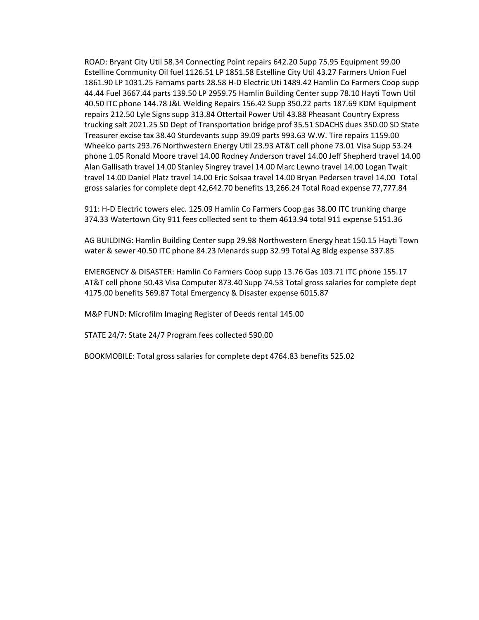ROAD: Bryant City Util 58.34 Connecting Point repairs 642.20 Supp 75.95 Equipment 99.00 Estelline Community Oil fuel 1126.51 LP 1851.58 Estelline City Util 43.27 Farmers Union Fuel 1861.90 LP 1031.25 Farnams parts 28.58 H-D Electric Uti 1489.42 Hamlin Co Farmers Coop supp 44.44 Fuel 3667.44 parts 139.50 LP 2959.75 Hamlin Building Center supp 78.10 Hayti Town Util 40.50 ITC phone 144.78 J&L Welding Repairs 156.42 Supp 350.22 parts 187.69 KDM Equipment repairs 212.50 Lyle Signs supp 313.84 Ottertail Power Util 43.88 Pheasant Country Express trucking salt 2021.25 SD Dept of Transportation bridge prof 35.51 SDACHS dues 350.00 SD State Treasurer excise tax 38.40 Sturdevants supp 39.09 parts 993.63 W.W. Tire repairs 1159.00 Wheelco parts 293.76 Northwestern Energy Util 23.93 AT&T cell phone 73.01 Visa Supp 53.24 phone 1.05 Ronald Moore travel 14.00 Rodney Anderson travel 14.00 Jeff Shepherd travel 14.00 Alan Gallisath travel 14.00 Stanley Singrey travel 14.00 Marc Lewno travel 14.00 Logan Twait travel 14.00 Daniel Platz travel 14.00 Eric Solsaa travel 14.00 Bryan Pedersen travel 14.00 Total gross salaries for complete dept 42,642.70 benefits 13,266.24 Total Road expense 77,777.84

911: H-D Electric towers elec. 125.09 Hamlin Co Farmers Coop gas 38.00 ITC trunking charge 374.33 Watertown City 911 fees collected sent to them 4613.94 total 911 expense 5151.36

AG BUILDING: Hamlin Building Center supp 29.98 Northwestern Energy heat 150.15 Hayti Town water & sewer 40.50 ITC phone 84.23 Menards supp 32.99 Total Ag Bldg expense 337.85

EMERGENCY & DISASTER: Hamlin Co Farmers Coop supp 13.76 Gas 103.71 ITC phone 155.17 AT&T cell phone 50.43 Visa Computer 873.40 Supp 74.53 Total gross salaries for complete dept 4175.00 benefits 569.87 Total Emergency & Disaster expense 6015.87

M&P FUND: Microfilm Imaging Register of Deeds rental 145.00

STATE 24/7: State 24/7 Program fees collected 590.00

BOOKMOBILE: Total gross salaries for complete dept 4764.83 benefits 525.02